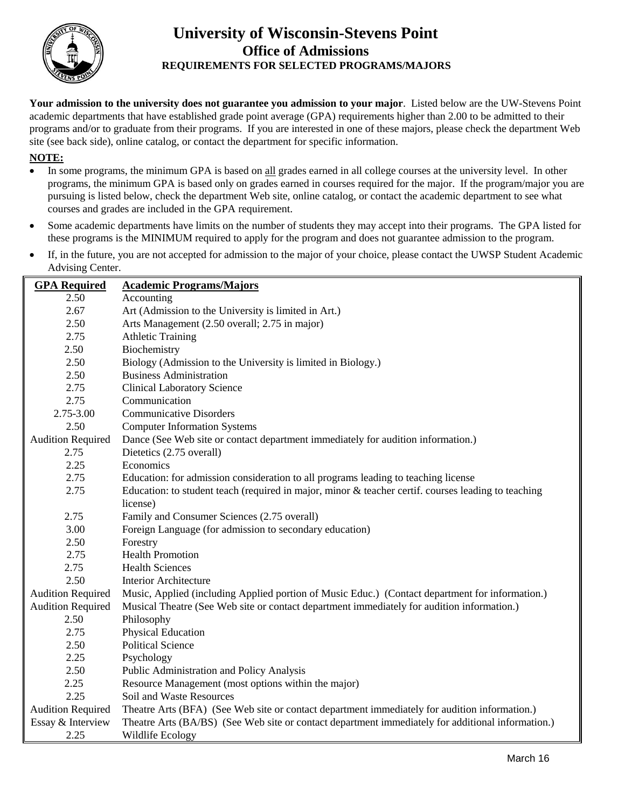

## **University of Wisconsin-Stevens Point Office of Admissions REQUIREMENTS FOR SELECTED PROGRAMS/MAJORS**

**Your admission to the university does not guarantee you admission to your major**. Listed below are the UW-Stevens Point academic departments that have established grade point average (GPA) requirements higher than 2.00 to be admitted to their programs and/or to graduate from their programs. If you are interested in one of these majors, please check the department Web site (see back side), online catalog, or contact the department for specific information.

## **NOTE:**

- In some programs, the minimum GPA is based on all grades earned in all college courses at the university level. In other programs, the minimum GPA is based only on grades earned in courses required for the major. If the program/major you are pursuing is listed below, check the department Web site, online catalog, or contact the academic department to see what courses and grades are included in the GPA requirement.
- Some academic departments have limits on the number of students they may accept into their programs. The GPA listed for these programs is the MINIMUM required to apply for the program and does not guarantee admission to the program.
- If, in the future, you are not accepted for admission to the major of your choice, please contact the UWSP Student Academic Advising Center.

| <b>GPA</b> Required      | <b>Academic Programs/Majors</b>                                                                     |  |
|--------------------------|-----------------------------------------------------------------------------------------------------|--|
| 2.50                     | Accounting                                                                                          |  |
| 2.67                     | Art (Admission to the University is limited in Art.)                                                |  |
| 2.50                     | Arts Management (2.50 overall; 2.75 in major)                                                       |  |
| 2.75                     | <b>Athletic Training</b>                                                                            |  |
| 2.50                     | Biochemistry                                                                                        |  |
| 2.50                     | Biology (Admission to the University is limited in Biology.)                                        |  |
| 2.50                     | <b>Business Administration</b>                                                                      |  |
| 2.75                     | <b>Clinical Laboratory Science</b>                                                                  |  |
| 2.75                     | Communication                                                                                       |  |
| 2.75-3.00                | <b>Communicative Disorders</b>                                                                      |  |
| 2.50                     | <b>Computer Information Systems</b>                                                                 |  |
| <b>Audition Required</b> | Dance (See Web site or contact department immediately for audition information.)                    |  |
| 2.75                     | Dietetics (2.75 overall)                                                                            |  |
| 2.25                     | Economics                                                                                           |  |
| 2.75                     | Education: for admission consideration to all programs leading to teaching license                  |  |
| 2.75                     | Education: to student teach (required in major, minor & teacher certif. courses leading to teaching |  |
|                          | license)                                                                                            |  |
| 2.75                     | Family and Consumer Sciences (2.75 overall)                                                         |  |
| 3.00                     | Foreign Language (for admission to secondary education)                                             |  |
| 2.50                     | Forestry                                                                                            |  |
| 2.75                     | <b>Health Promotion</b>                                                                             |  |
| 2.75                     | <b>Health Sciences</b>                                                                              |  |
| 2.50                     | Interior Architecture                                                                               |  |
| <b>Audition Required</b> | Music, Applied (including Applied portion of Music Educ.) (Contact department for information.)     |  |
| <b>Audition Required</b> | Musical Theatre (See Web site or contact department immediately for audition information.)          |  |
| 2.50                     | Philosophy                                                                                          |  |
| 2.75                     | Physical Education                                                                                  |  |
| 2.50                     | <b>Political Science</b>                                                                            |  |
| 2.25                     | Psychology                                                                                          |  |
| 2.50                     | Public Administration and Policy Analysis                                                           |  |
| 2.25                     | Resource Management (most options within the major)                                                 |  |
| 2.25                     | Soil and Waste Resources                                                                            |  |
| <b>Audition Required</b> | Theatre Arts (BFA) (See Web site or contact department immediately for audition information.)       |  |
| Essay & Interview        | Theatre Arts (BA/BS) (See Web site or contact department immediately for additional information.)   |  |
| 2.25                     | Wildlife Ecology                                                                                    |  |